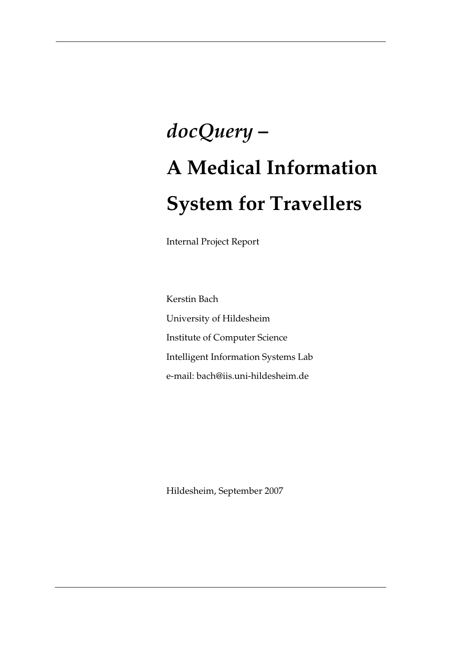# *docQuery* **– A Medical Information System for Travellers**

Internal Project Report

Kerstin Bach University of Hildesheim Institute of Computer Science Intelligent Information Systems Lab e-mail: bach@iis.uni-hildesheim.de

Hildesheim, September 2007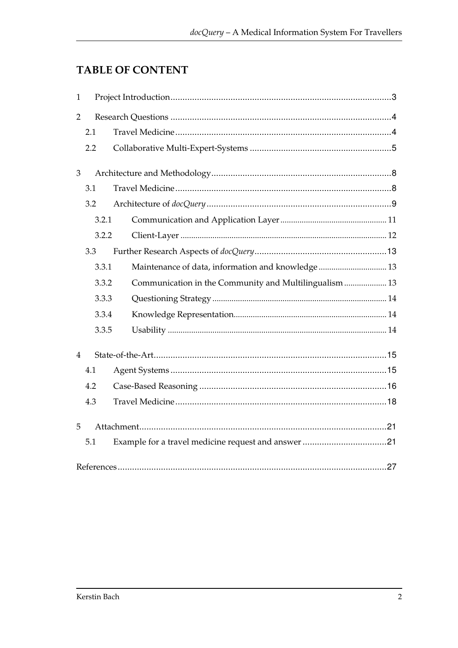# **TABLE OF CONTENT**

| $\mathbf{1}$   |       |                                                       |  |  |
|----------------|-------|-------------------------------------------------------|--|--|
| 2              |       |                                                       |  |  |
|                | 2.1   |                                                       |  |  |
|                | 2.2   |                                                       |  |  |
| 3              |       |                                                       |  |  |
|                | 3.1   |                                                       |  |  |
|                | 3.2   |                                                       |  |  |
|                | 3.2.1 |                                                       |  |  |
|                | 3.2.2 |                                                       |  |  |
|                | 3.3   |                                                       |  |  |
|                | 3.3.1 | Maintenance of data, information and knowledge 13     |  |  |
|                | 3.3.2 | Communication in the Community and Multilingualism 13 |  |  |
|                | 3.3.3 |                                                       |  |  |
|                | 3.3.4 |                                                       |  |  |
|                | 3.3.5 |                                                       |  |  |
| $\overline{4}$ |       |                                                       |  |  |
|                | 4.1   |                                                       |  |  |
|                | 4.2   |                                                       |  |  |
|                | 4.3   |                                                       |  |  |
| 5              |       |                                                       |  |  |
|                | 5.1   |                                                       |  |  |
|                |       |                                                       |  |  |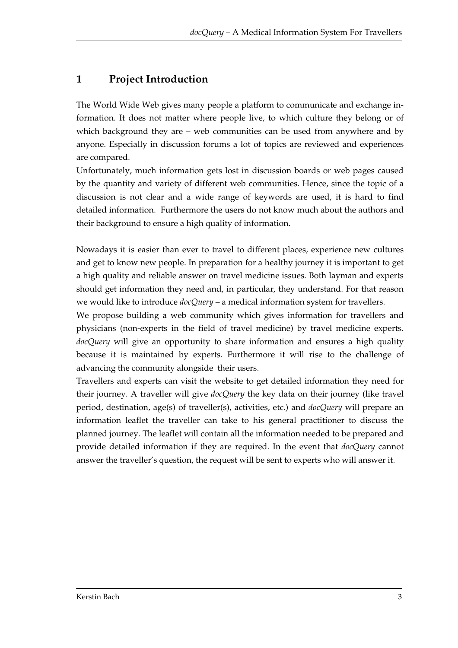# **1 Project Introduction**

The World Wide Web gives many people a platform to communicate and exchange information. It does not matter where people live, to which culture they belong or of which background they are – web communities can be used from anywhere and by anyone. Especially in discussion forums a lot of topics are reviewed and experiences are compared.

Unfortunately, much information gets lost in discussion boards or web pages caused by the quantity and variety of different web communities. Hence, since the topic of a discussion is not clear and a wide range of keywords are used, it is hard to find detailed information. Furthermore the users do not know much about the authors and their background to ensure a high quality of information.

Nowadays it is easier than ever to travel to different places, experience new cultures and get to know new people. In preparation for a healthy journey it is important to get a high quality and reliable answer on travel medicine issues. Both layman and experts should get information they need and, in particular, they understand. For that reason we would like to introduce *docQuery* – a medical information system for travellers.

We propose building a web community which gives information for travellers and physicians (non-experts in the field of travel medicine) by travel medicine experts. *docQuery* will give an opportunity to share information and ensures a high quality because it is maintained by experts. Furthermore it will rise to the challenge of advancing the community alongside their users.

Travellers and experts can visit the website to get detailed information they need for their journey. A traveller will give *docQuery* the key data on their journey (like travel period, destination, age(s) of traveller(s), activities, etc.) and *docQuery* will prepare an information leaflet the traveller can take to his general practitioner to discuss the planned journey. The leaflet will contain all the information needed to be prepared and provide detailed information if they are required. In the event that *docQuery* cannot answer the traveller's question, the request will be sent to experts who will answer it.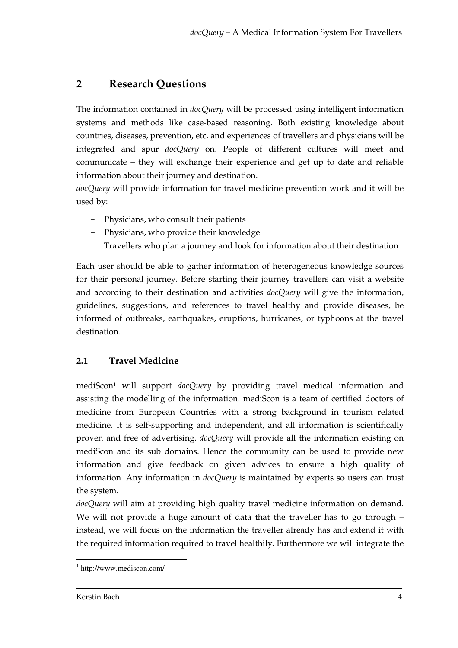# **2 Research Questions**

The information contained in *docQuery* will be processed using intelligent information systems and methods like case-based reasoning. Both existing knowledge about countries, diseases, prevention, etc. and experiences of travellers and physicians will be integrated and spur *docQuery* on. People of different cultures will meet and communicate – they will exchange their experience and get up to date and reliable information about their journey and destination.

*docQuery* will provide information for travel medicine prevention work and it will be used by:

- Physicians, who consult their patients
- Physicians, who provide their knowledge
- Travellers who plan a journey and look for information about their destination

Each user should be able to gather information of heterogeneous knowledge sources for their personal journey. Before starting their journey travellers can visit a website and according to their destination and activities *docQuery* will give the information, guidelines, suggestions, and references to travel healthy and provide diseases, be informed of outbreaks, earthquakes, eruptions, hurricanes, or typhoons at the travel destination.

# **2.1 Travel Medicine**

mediScon1 will support *docQuery* by providing travel medical information and assisting the modelling of the information. mediScon is a team of certified doctors of medicine from European Countries with a strong background in tourism related medicine. It is self-supporting and independent, and all information is scientifically proven and free of advertising. *docQuery* will provide all the information existing on mediScon and its sub domains. Hence the community can be used to provide new information and give feedback on given advices to ensure a high quality of information. Any information in *docQuery* is maintained by experts so users can trust the system.

*docQuery* will aim at providing high quality travel medicine information on demand. We will not provide a huge amount of data that the traveller has to go through – instead, we will focus on the information the traveller already has and extend it with the required information required to travel healthily. Furthermore we will integrate the

 $\overline{a}$ 1 http://www.mediscon.com/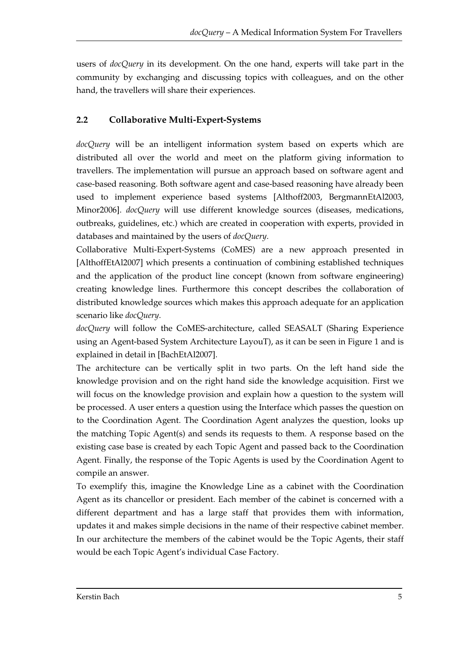users of *docQuery* in its development. On the one hand, experts will take part in the community by exchanging and discussing topics with colleagues, and on the other hand, the travellers will share their experiences.

# **2.2 Collaborative Multi-Expert-Systems**

*docQuery* will be an intelligent information system based on experts which are distributed all over the world and meet on the platform giving information to travellers. The implementation will pursue an approach based on software agent and case-based reasoning. Both software agent and case-based reasoning have already been used to implement experience based systems [Althoff2003, BergmannEtAl2003, Minor2006]. *docQuery* will use different knowledge sources (diseases, medications, outbreaks, guidelines, etc.) which are created in cooperation with experts, provided in databases and maintained by the users of *docQuery*.

Collaborative Multi-Expert-Systems (CoMES) are a new approach presented in [AlthoffEtAl2007] which presents a continuation of combining established techniques and the application of the product line concept (known from software engineering) creating knowledge lines. Furthermore this concept describes the collaboration of distributed knowledge sources which makes this approach adequate for an application scenario like *docQuery*.

*docQuery* will follow the CoMES-architecture, called SEASALT (Sharing Experience using an Agent-based System Architecture LayouT), as it can be seen in Figure 1 and is explained in detail in [BachEtAl2007].

The architecture can be vertically split in two parts. On the left hand side the knowledge provision and on the right hand side the knowledge acquisition. First we will focus on the knowledge provision and explain how a question to the system will be processed. A user enters a question using the Interface which passes the question on to the Coordination Agent. The Coordination Agent analyzes the question, looks up the matching Topic Agent(s) and sends its requests to them. A response based on the existing case base is created by each Topic Agent and passed back to the Coordination Agent. Finally, the response of the Topic Agents is used by the Coordination Agent to compile an answer.

To exemplify this, imagine the Knowledge Line as a cabinet with the Coordination Agent as its chancellor or president. Each member of the cabinet is concerned with a different department and has a large staff that provides them with information, updates it and makes simple decisions in the name of their respective cabinet member. In our architecture the members of the cabinet would be the Topic Agents, their staff would be each Topic Agent's individual Case Factory.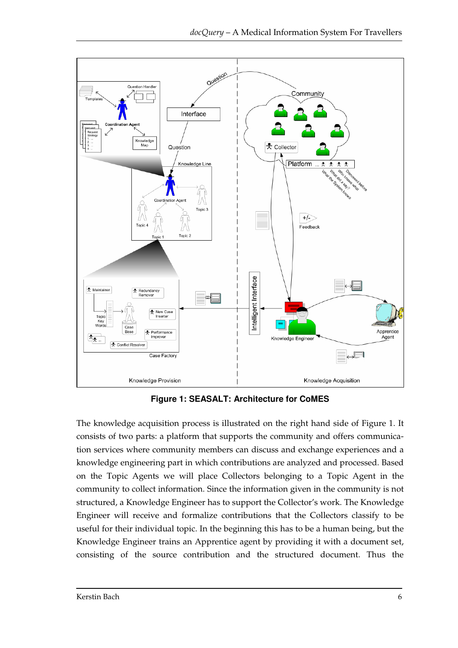

**Figure 1: SEASALT: Architecture for CoMES** 

The knowledge acquisition process is illustrated on the right hand side of Figure 1. It consists of two parts: a platform that supports the community and offers communication services where community members can discuss and exchange experiences and a knowledge engineering part in which contributions are analyzed and processed. Based on the Topic Agents we will place Collectors belonging to a Topic Agent in the community to collect information. Since the information given in the community is not structured, a Knowledge Engineer has to support the Collector's work. The Knowledge Engineer will receive and formalize contributions that the Collectors classify to be useful for their individual topic. In the beginning this has to be a human being, but the Knowledge Engineer trains an Apprentice agent by providing it with a document set, consisting of the source contribution and the structured document. Thus the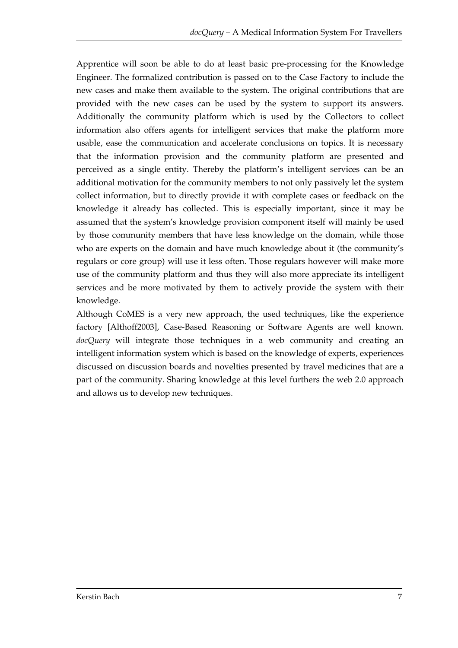Apprentice will soon be able to do at least basic pre-processing for the Knowledge Engineer. The formalized contribution is passed on to the Case Factory to include the new cases and make them available to the system. The original contributions that are provided with the new cases can be used by the system to support its answers. Additionally the community platform which is used by the Collectors to collect information also offers agents for intelligent services that make the platform more usable, ease the communication and accelerate conclusions on topics. It is necessary that the information provision and the community platform are presented and perceived as a single entity. Thereby the platform's intelligent services can be an additional motivation for the community members to not only passively let the system collect information, but to directly provide it with complete cases or feedback on the knowledge it already has collected. This is especially important, since it may be assumed that the system's knowledge provision component itself will mainly be used by those community members that have less knowledge on the domain, while those who are experts on the domain and have much knowledge about it (the community's regulars or core group) will use it less often. Those regulars however will make more use of the community platform and thus they will also more appreciate its intelligent services and be more motivated by them to actively provide the system with their knowledge.

Although CoMES is a very new approach, the used techniques, like the experience factory [Althoff2003], Case-Based Reasoning or Software Agents are well known. *docQuery* will integrate those techniques in a web community and creating an intelligent information system which is based on the knowledge of experts, experiences discussed on discussion boards and novelties presented by travel medicines that are a part of the community. Sharing knowledge at this level furthers the web 2.0 approach and allows us to develop new techniques.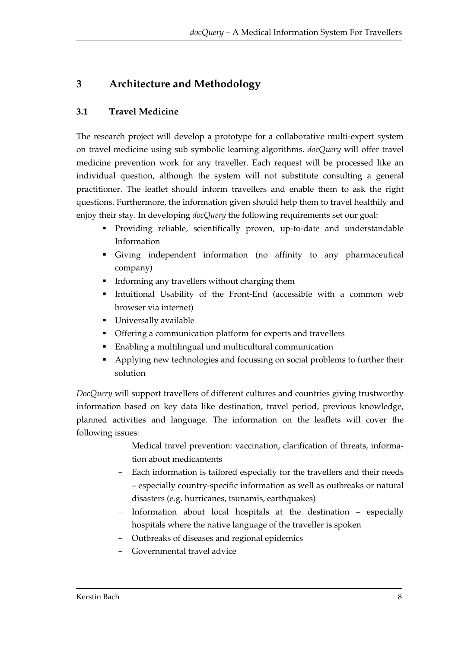# **3 Architecture and Methodology**

# **3.1 Travel Medicine**

The research project will develop a prototype for a collaborative multi-expert system on travel medicine using sub symbolic learning algorithms. *docQuery* will offer travel medicine prevention work for any traveller. Each request will be processed like an individual question, although the system will not substitute consulting a general practitioner. The leaflet should inform travellers and enable them to ask the right questions. Furthermore, the information given should help them to travel healthily and enjoy their stay. In developing *docQuery* the following requirements set our goal:

- Providing reliable, scientifically proven, up-to-date and understandable Information
- Giving independent information (no affinity to any pharmaceutical company)
- **Informing any travellers without charging them**
- Intuitional Usability of the Front-End (accessible with a common web browser via internet)
- **Universally available**
- Offering a communication platform for experts and travellers
- Enabling a multilingual und multicultural communication
- Applying new technologies and focussing on social problems to further their solution

*DocQuery* will support travellers of different cultures and countries giving trustworthy information based on key data like destination, travel period, previous knowledge, planned activities and language. The information on the leaflets will cover the following issues:

- Medical travel prevention: vaccination, clarification of threats, information about medicaments
- Each information is tailored especially for the travellers and their needs – especially country-specific information as well as outbreaks or natural disasters (e.g. hurricanes, tsunamis, earthquakes)
- Information about local hospitals at the destination especially hospitals where the native language of the traveller is spoken
- Outbreaks of diseases and regional epidemics
- Governmental travel advice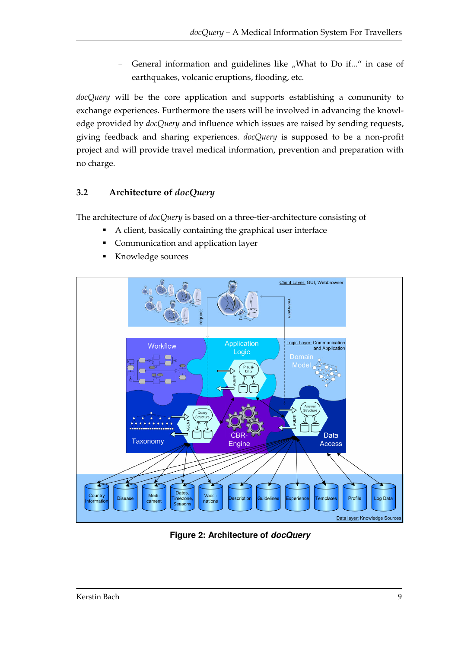- General information and guidelines like "What to Do if..." in case of earthquakes, volcanic eruptions, flooding, etc.

*docQuery* will be the core application and supports establishing a community to exchange experiences. Furthermore the users will be involved in advancing the knowledge provided by *docQuery* and influence which issues are raised by sending requests, giving feedback and sharing experiences. *docQuery* is supposed to be a non-profit project and will provide travel medical information, prevention and preparation with no charge.

# **3.2 Architecture of** *docQuery*

The architecture of *docQuery* is based on a three-tier-architecture consisting of

- A client, basically containing the graphical user interface
- Communication and application layer
- Knowledge sources



**Figure 2: Architecture of docQuery**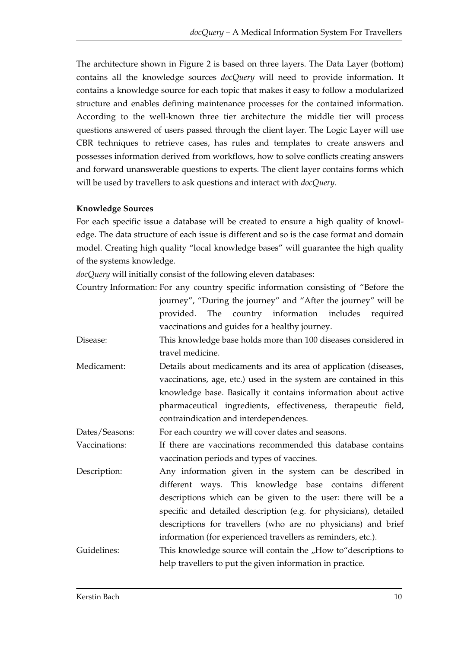The architecture shown in Figure 2 is based on three layers. The Data Layer (bottom) contains all the knowledge sources *docQuery* will need to provide information. It contains a knowledge source for each topic that makes it easy to follow a modularized structure and enables defining maintenance processes for the contained information. According to the well-known three tier architecture the middle tier will process questions answered of users passed through the client layer. The Logic Layer will use CBR techniques to retrieve cases, has rules and templates to create answers and possesses information derived from workflows, how to solve conflicts creating answers and forward unanswerable questions to experts. The client layer contains forms which will be used by travellers to ask questions and interact with *docQuery*.

#### **Knowledge Sources**

For each specific issue a database will be created to ensure a high quality of knowledge. The data structure of each issue is different and so is the case format and domain model. Creating high quality "local knowledge bases" will guarantee the high quality of the systems knowledge.

*docQuery* will initially consist of the following eleven databases:

| Country Information: For any country specific information consisting of "Before the |  |  |                                                                |  |  |
|-------------------------------------------------------------------------------------|--|--|----------------------------------------------------------------|--|--|
|                                                                                     |  |  | journey", "During the journey" and "After the journey" will be |  |  |
|                                                                                     |  |  | provided. The country information includes required            |  |  |
| vaccinations and guides for a healthy journey.                                      |  |  |                                                                |  |  |

- Disease: This knowledge base holds more than 100 diseases considered in travel medicine.
- Medicament: Details about medicaments and its area of application (diseases, vaccinations, age, etc.) used in the system are contained in this knowledge base. Basically it contains information about active pharmaceutical ingredients, effectiveness, therapeutic field, contraindication and interdependences.

Dates/Seasons: For each country we will cover dates and seasons.

Vaccinations: If there are vaccinations recommended this database contains vaccination periods and types of vaccines.

Description: Any information given in the system can be described in different ways. This knowledge base contains different descriptions which can be given to the user: there will be a specific and detailed description (e.g. for physicians), detailed descriptions for travellers (who are no physicians) and brief information (for experienced travellers as reminders, etc.).

Guidelines: This knowledge source will contain the "How to"descriptions to help travellers to put the given information in practice.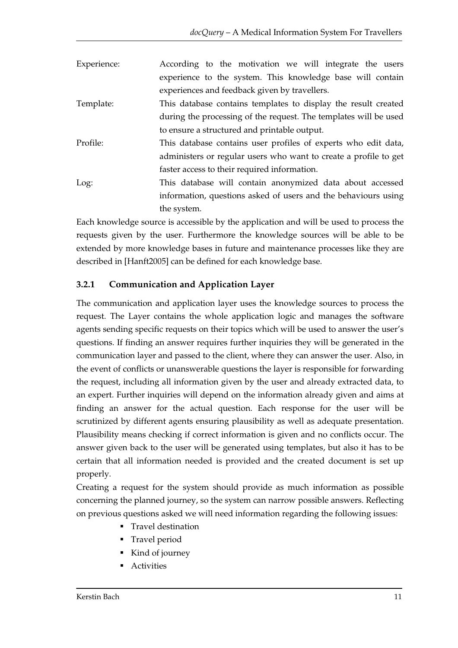| Experience: | According to the motivation we will integrate the users          |
|-------------|------------------------------------------------------------------|
|             | experience to the system. This knowledge base will contain       |
|             | experiences and feedback given by travellers.                    |
| Template:   | This database contains templates to display the result created   |
|             | during the processing of the request. The templates will be used |
|             | to ensure a structured and printable output.                     |
| Profile:    | This database contains user profiles of experts who edit data,   |
|             | administers or regular users who want to create a profile to get |
|             | faster access to their required information.                     |
| Log:        | This database will contain anonymized data about accessed        |
|             | information, questions asked of users and the behaviours using   |
|             | the system.                                                      |

Each knowledge source is accessible by the application and will be used to process the requests given by the user. Furthermore the knowledge sources will be able to be extended by more knowledge bases in future and maintenance processes like they are described in [Hanft2005] can be defined for each knowledge base.

# **3.2.1 Communication and Application Layer**

The communication and application layer uses the knowledge sources to process the request. The Layer contains the whole application logic and manages the software agents sending specific requests on their topics which will be used to answer the user's questions. If finding an answer requires further inquiries they will be generated in the communication layer and passed to the client, where they can answer the user. Also, in the event of conflicts or unanswerable questions the layer is responsible for forwarding the request, including all information given by the user and already extracted data, to an expert. Further inquiries will depend on the information already given and aims at finding an answer for the actual question. Each response for the user will be scrutinized by different agents ensuring plausibility as well as adequate presentation. Plausibility means checking if correct information is given and no conflicts occur. The answer given back to the user will be generated using templates, but also it has to be certain that all information needed is provided and the created document is set up properly.

Creating a request for the system should provide as much information as possible concerning the planned journey, so the system can narrow possible answers. Reflecting on previous questions asked we will need information regarding the following issues:

- **Travel destination**
- **Travel period**
- Kind of journey
- Activities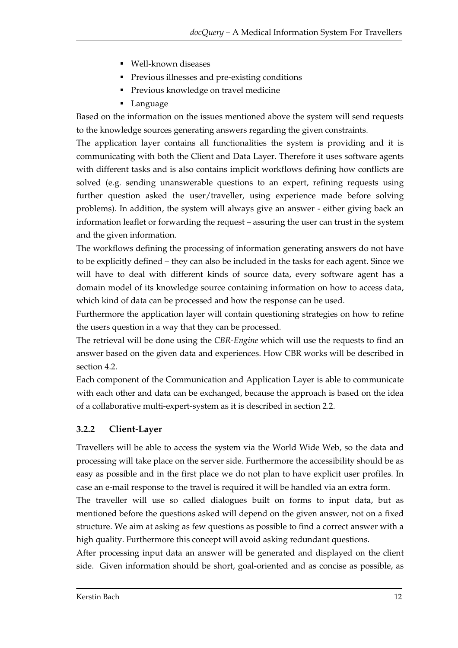- Well-known diseases
- Previous illnesses and pre-existing conditions
- **Previous knowledge on travel medicine**
- **Language**

Based on the information on the issues mentioned above the system will send requests to the knowledge sources generating answers regarding the given constraints.

The application layer contains all functionalities the system is providing and it is communicating with both the Client and Data Layer. Therefore it uses software agents with different tasks and is also contains implicit workflows defining how conflicts are solved (e.g. sending unanswerable questions to an expert, refining requests using further question asked the user/traveller, using experience made before solving problems). In addition, the system will always give an answer - either giving back an information leaflet or forwarding the request – assuring the user can trust in the system and the given information.

The workflows defining the processing of information generating answers do not have to be explicitly defined – they can also be included in the tasks for each agent. Since we will have to deal with different kinds of source data, every software agent has a domain model of its knowledge source containing information on how to access data, which kind of data can be processed and how the response can be used.

Furthermore the application layer will contain questioning strategies on how to refine the users question in a way that they can be processed.

The retrieval will be done using the *CBR-Engine* which will use the requests to find an answer based on the given data and experiences. How CBR works will be described in section 4.2.

Each component of the Communication and Application Layer is able to communicate with each other and data can be exchanged, because the approach is based on the idea of a collaborative multi-expert-system as it is described in section 2.2.

## **3.2.2 Client-Layer**

Travellers will be able to access the system via the World Wide Web, so the data and processing will take place on the server side. Furthermore the accessibility should be as easy as possible and in the first place we do not plan to have explicit user profiles. In case an e-mail response to the travel is required it will be handled via an extra form.

The traveller will use so called dialogues built on forms to input data, but as mentioned before the questions asked will depend on the given answer, not on a fixed structure. We aim at asking as few questions as possible to find a correct answer with a high quality. Furthermore this concept will avoid asking redundant questions.

After processing input data an answer will be generated and displayed on the client side. Given information should be short, goal-oriented and as concise as possible, as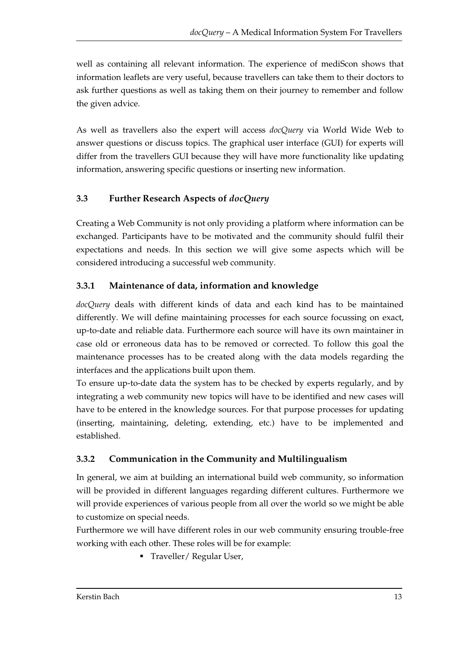well as containing all relevant information. The experience of mediScon shows that information leaflets are very useful, because travellers can take them to their doctors to ask further questions as well as taking them on their journey to remember and follow the given advice.

As well as travellers also the expert will access *docQuery* via World Wide Web to answer questions or discuss topics. The graphical user interface (GUI) for experts will differ from the travellers GUI because they will have more functionality like updating information, answering specific questions or inserting new information.

# **3.3 Further Research Aspects of** *docQuery*

Creating a Web Community is not only providing a platform where information can be exchanged. Participants have to be motivated and the community should fulfil their expectations and needs. In this section we will give some aspects which will be considered introducing a successful web community.

# **3.3.1 Maintenance of data, information and knowledge**

*docQuery* deals with different kinds of data and each kind has to be maintained differently. We will define maintaining processes for each source focussing on exact, up-to-date and reliable data. Furthermore each source will have its own maintainer in case old or erroneous data has to be removed or corrected. To follow this goal the maintenance processes has to be created along with the data models regarding the interfaces and the applications built upon them.

To ensure up-to-date data the system has to be checked by experts regularly, and by integrating a web community new topics will have to be identified and new cases will have to be entered in the knowledge sources. For that purpose processes for updating (inserting, maintaining, deleting, extending, etc.) have to be implemented and established.

# **3.3.2 Communication in the Community and Multilingualism**

In general, we aim at building an international build web community, so information will be provided in different languages regarding different cultures. Furthermore we will provide experiences of various people from all over the world so we might be able to customize on special needs.

Furthermore we will have different roles in our web community ensuring trouble-free working with each other. These roles will be for example:

**Traveller/ Regular User,**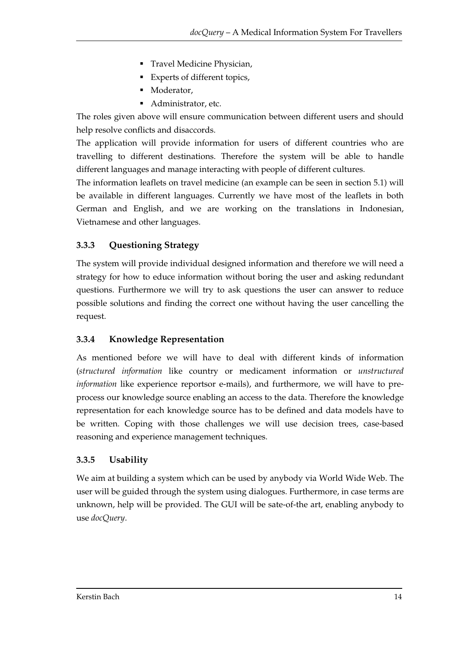- **Travel Medicine Physician,**
- Experts of different topics,
- Moderator,
- Administrator, etc.

The roles given above will ensure communication between different users and should help resolve conflicts and disaccords.

The application will provide information for users of different countries who are travelling to different destinations. Therefore the system will be able to handle different languages and manage interacting with people of different cultures.

The information leaflets on travel medicine (an example can be seen in section 5.1) will be available in different languages. Currently we have most of the leaflets in both German and English, and we are working on the translations in Indonesian, Vietnamese and other languages.

# **3.3.3 Questioning Strategy**

The system will provide individual designed information and therefore we will need a strategy for how to educe information without boring the user and asking redundant questions. Furthermore we will try to ask questions the user can answer to reduce possible solutions and finding the correct one without having the user cancelling the request.

## **3.3.4 Knowledge Representation**

As mentioned before we will have to deal with different kinds of information (*structured information* like country or medicament information or *unstructured information* like experience reportsor e-mails), and furthermore, we will have to preprocess our knowledge source enabling an access to the data. Therefore the knowledge representation for each knowledge source has to be defined and data models have to be written. Coping with those challenges we will use decision trees, case-based reasoning and experience management techniques.

## **3.3.5 Usability**

We aim at building a system which can be used by anybody via World Wide Web. The user will be guided through the system using dialogues. Furthermore, in case terms are unknown, help will be provided. The GUI will be sate-of-the art, enabling anybody to use *docQuery*.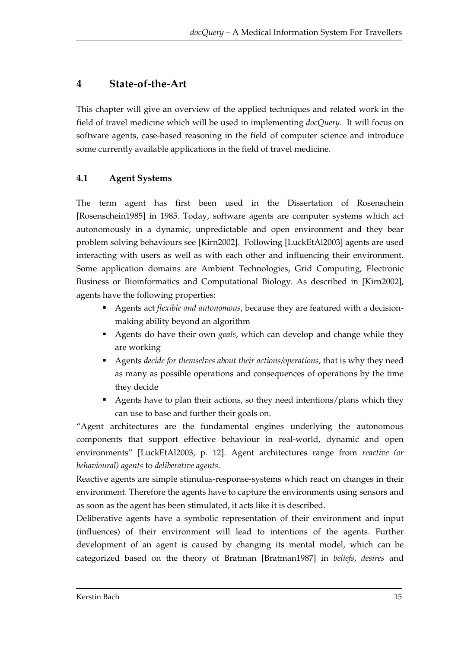# **4 State-of-the-Art**

This chapter will give an overview of the applied techniques and related work in the field of travel medicine which will be used in implementing *docQuery*. It will focus on software agents, case-based reasoning in the field of computer science and introduce some currently available applications in the field of travel medicine.

# **4.1 Agent Systems**

The term agent has first been used in the Dissertation of Rosenschein [Rosenschein1985] in 1985. Today, software agents are computer systems which act autonomously in a dynamic, unpredictable and open environment and they bear problem solving behaviours see [Kirn2002]. Following [LuckEtAl2003] agents are used interacting with users as well as with each other and influencing their environment. Some application domains are Ambient Technologies, Grid Computing, Electronic Business or Bioinformatics and Computational Biology. As described in [Kirn2002], agents have the following properties:

- Agents act *flexible and autonomous*, because they are featured with a decisionmaking ability beyond an algorithm
- Agents do have their own *goals*, which can develop and change while they are working
- Agents *decide for themselves about their actions/operations*, that is why they need as many as possible operations and consequences of operations by the time they decide
- Agents have to plan their actions, so they need intentions/plans which they can use to base and further their goals on.

"Agent architectures are the fundamental engines underlying the autonomous components that support effective behaviour in real-world, dynamic and open environments" [LuckEtAl2003, p. 12]. Agent architectures range from *reactive (or behavioural) agents* to *deliberative agents*.

Reactive agents are simple stimulus-response-systems which react on changes in their environment. Therefore the agents have to capture the environments using sensors and as soon as the agent has been stimulated, it acts like it is described.

Deliberative agents have a symbolic representation of their environment and input (influences) of their environment will lead to intentions of the agents. Further development of an agent is caused by changing its mental model, which can be categorized based on the theory of Bratman [Bratman1987] in *beliefs*, *desires* and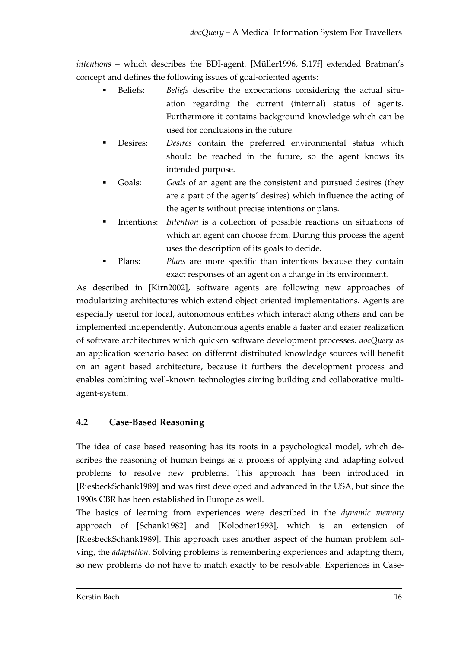*intentions* – which describes the BDI-agent. [Müller1996, S.17f] extended Bratman's concept and defines the following issues of goal-oriented agents:

- Beliefs: *Beliefs* describe the expectations considering the actual situation regarding the current (internal) status of agents. Furthermore it contains background knowledge which can be used for conclusions in the future.
- Desires: *Desires* contain the preferred environmental status which should be reached in the future, so the agent knows its intended purpose.
- Goals: *Goals* of an agent are the consistent and pursued desires (they are a part of the agents' desires) which influence the acting of the agents without precise intentions or plans.
- Intentions: *Intention* is a collection of possible reactions on situations of which an agent can choose from. During this process the agent uses the description of its goals to decide.
- Plans: *Plans* are more specific than intentions because they contain exact responses of an agent on a change in its environment.

As described in [Kirn2002], software agents are following new approaches of modularizing architectures which extend object oriented implementations. Agents are especially useful for local, autonomous entities which interact along others and can be implemented independently. Autonomous agents enable a faster and easier realization of software architectures which quicken software development processes. *docQuery* as an application scenario based on different distributed knowledge sources will benefit on an agent based architecture, because it furthers the development process and enables combining well-known technologies aiming building and collaborative multiagent-system.

# **4.2 Case-Based Reasoning**

The idea of case based reasoning has its roots in a psychological model, which describes the reasoning of human beings as a process of applying and adapting solved problems to resolve new problems. This approach has been introduced in [RiesbeckSchank1989] and was first developed and advanced in the USA, but since the 1990s CBR has been established in Europe as well.

The basics of learning from experiences were described in the *dynamic memory* approach of [Schank1982] and [Kolodner1993], which is an extension of [RiesbeckSchank1989]. This approach uses another aspect of the human problem solving, the *adaptation*. Solving problems is remembering experiences and adapting them, so new problems do not have to match exactly to be resolvable. Experiences in Case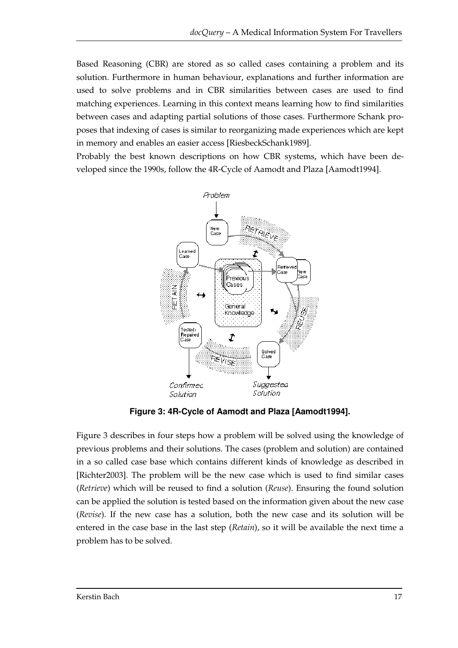Based Reasoning (CBR) are stored as so called cases containing a problem and its solution. Furthermore in human behaviour, explanations and further information are used to solve problems and in CBR similarities between cases are used to find matching experiences. Learning in this context means learning how to find similarities between cases and adapting partial solutions of those cases. Furthermore Schank proposes that indexing of cases is similar to reorganizing made experiences which are kept in memory and enables an easier access [RiesbeckSchank1989].

Probably the best known descriptions on how CBR systems, which have been developed since the 1990s, follow the 4R-Cycle of Aamodt and Plaza [Aamodt1994].



**Figure 3: 4R-Cycle of Aamodt and Plaza [Aamodt1994].** 

Figure 3 describes in four steps how a problem will be solved using the knowledge of previous problems and their solutions. The cases (problem and solution) are contained in a so called case base which contains different kinds of knowledge as described in [Richter2003]. The problem will be the new case which is used to find similar cases (*Retrieve*) which will be reused to find a solution (*Reuse*). Ensuring the found solution can be applied the solution is tested based on the information given about the new case (*Revise*). If the new case has a solution, both the new case and its solution will be entered in the case base in the last step (*Retain*), so it will be available the next time a problem has to be solved.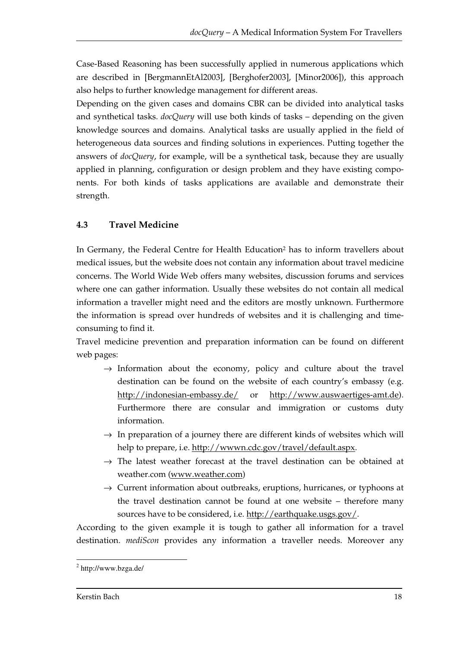Case-Based Reasoning has been successfully applied in numerous applications which are described in [BergmannEtAl2003], [Berghofer2003], [Minor2006]), this approach also helps to further knowledge management for different areas.

Depending on the given cases and domains CBR can be divided into analytical tasks and synthetical tasks. *docQuery* will use both kinds of tasks – depending on the given knowledge sources and domains. Analytical tasks are usually applied in the field of heterogeneous data sources and finding solutions in experiences. Putting together the answers of *docQuery*, for example, will be a synthetical task, because they are usually applied in planning, configuration or design problem and they have existing components. For both kinds of tasks applications are available and demonstrate their strength.

# **4.3 Travel Medicine**

In Germany, the Federal Centre for Health Education<sup>2</sup> has to inform travellers about medical issues, but the website does not contain any information about travel medicine concerns. The World Wide Web offers many websites, discussion forums and services where one can gather information. Usually these websites do not contain all medical information a traveller might need and the editors are mostly unknown. Furthermore the information is spread over hundreds of websites and it is challenging and timeconsuming to find it.

Travel medicine prevention and preparation information can be found on different web pages:

- $\rightarrow$  Information about the economy, policy and culture about the travel destination can be found on the website of each country's embassy (e.g. http://indonesian-embassy.de/ or http://www.auswaertiges-amt.de). Furthermore there are consular and immigration or customs duty information.
- $\rightarrow$  In preparation of a journey there are different kinds of websites which will help to prepare, i.e. http://wwwn.cdc.gov/travel/default.aspx.
- $\rightarrow$  The latest weather forecast at the travel destination can be obtained at weather.com (www.weather.com)
- $\rightarrow$  Current information about outbreaks, eruptions, hurricanes, or typhoons at the travel destination cannot be found at one website – therefore many sources have to be considered, i.e. http://earthquake.usgs.gov/.

According to the given example it is tough to gather all information for a travel destination. *mediScon* provides any information a traveller needs. Moreover any

 $\overline{a}$ <sup>2</sup> http://www.bzga.de/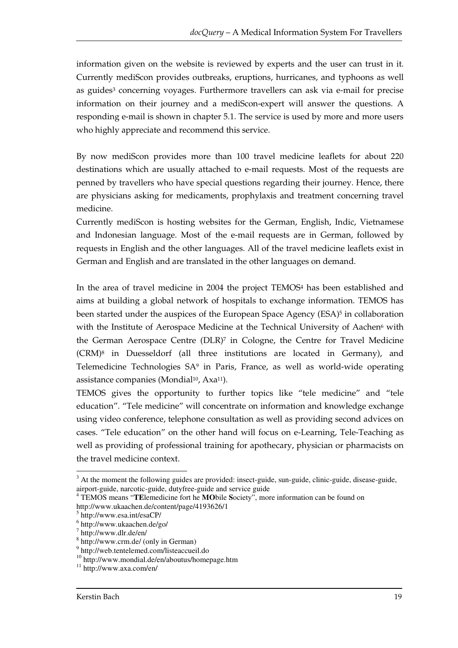information given on the website is reviewed by experts and the user can trust in it. Currently mediScon provides outbreaks, eruptions, hurricanes, and typhoons as well as guides3 concerning voyages. Furthermore travellers can ask via e-mail for precise information on their journey and a mediScon-expert will answer the questions. A responding e-mail is shown in chapter 5.1. The service is used by more and more users who highly appreciate and recommend this service.

By now mediScon provides more than 100 travel medicine leaflets for about 220 destinations which are usually attached to e-mail requests. Most of the requests are penned by travellers who have special questions regarding their journey. Hence, there are physicians asking for medicaments, prophylaxis and treatment concerning travel medicine.

Currently mediScon is hosting websites for the German, English, Indic, Vietnamese and Indonesian language. Most of the e-mail requests are in German, followed by requests in English and the other languages. All of the travel medicine leaflets exist in German and English and are translated in the other languages on demand.

In the area of travel medicine in 2004 the project TEMOS<sup>4</sup> has been established and aims at building a global network of hospitals to exchange information. TEMOS has been started under the auspices of the European Space Agency (ESA)<sup>5</sup> in collaboration with the Institute of Aerospace Medicine at the Technical University of Aachen<sup>6</sup> with the German Aerospace Centre (DLR)7 in Cologne, the Centre for Travel Medicine (CRM)8 in Duesseldorf (all three institutions are located in Germany), and Telemedicine Technologies SA9 in Paris, France, as well as world-wide operating assistance companies (Mondial<sup>10</sup>, Axa<sup>11</sup>).

TEMOS gives the opportunity to further topics like "tele medicine" and "tele education". "Tele medicine" will concentrate on information and knowledge exchange using video conference, telephone consultation as well as providing second advices on cases. "Tele education" on the other hand will focus on e-Learning, Tele-Teaching as well as providing of professional training for apothecary, physician or pharmacists on the travel medicine context.

 $\overline{a}$  $3$  At the moment the following guides are provided: insect-guide, sun-guide, clinic-guide, disease-guide, airport-guide, narcotic-guide, dutyfree-guide and service guide

<sup>4</sup> TEMOS means "**TE**lemedicine fort he **MO**bile **S**ociety", more information can be found on http://www.ukaachen.de/content/page/4193626/1

<sup>5</sup> http://www.esa.int/esaCP/

<sup>6</sup> http://www.ukaachen.de/go/

<sup>7</sup> http://www.dlr.de/en/

<sup>8</sup> http://www.crm.de/ (only in German)

<sup>9</sup> http://web.tentelemed.com/listeaccueil.do

<sup>&</sup>lt;sup>10</sup> http://www.mondial.de/en/aboutus/homepage.htm

<sup>11</sup> http://www.axa.com/en/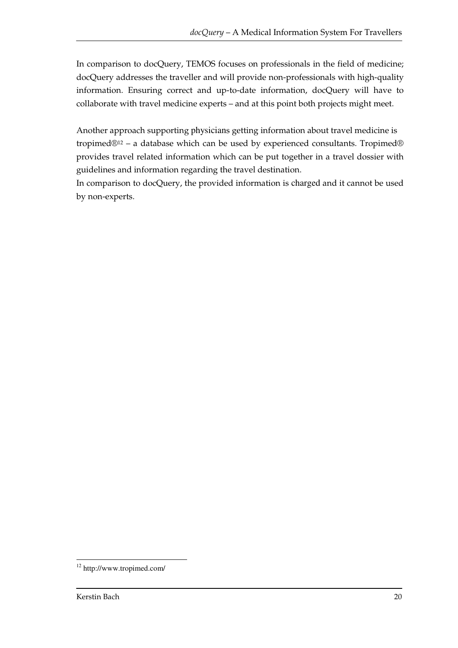In comparison to docQuery, TEMOS focuses on professionals in the field of medicine; docQuery addresses the traveller and will provide non-professionals with high-quality information. Ensuring correct and up-to-date information, docQuery will have to collaborate with travel medicine experts – and at this point both projects might meet.

Another approach supporting physicians getting information about travel medicine is tropimed®12 – a database which can be used by experienced consultants. Tropimed® provides travel related information which can be put together in a travel dossier with guidelines and information regarding the travel destination.

In comparison to docQuery, the provided information is charged and it cannot be used by non-experts.

 $\overline{a}$ <sup>12</sup> http://www.tropimed.com/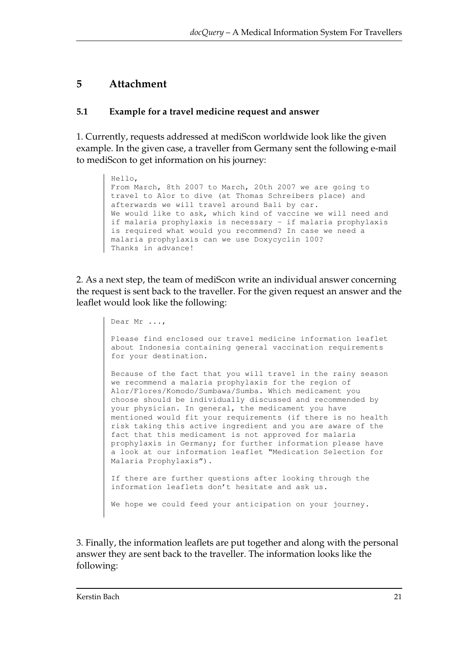# **5 Attachment**

## **5.1 Example for a travel medicine request and answer**

1. Currently, requests addressed at mediScon worldwide look like the given example. In the given case, a traveller from Germany sent the following e-mail to mediScon to get information on his journey:

```
Hello, 
From March, 8th 2007 to March, 20th 2007 we are going to 
travel to Alor to dive (at Thomas Schreibers place) and 
afterwards we will travel around Bali by car. 
We would like to ask, which kind of vaccine we will need and 
if malaria prophylaxis is necessary - if malaria prophylaxis 
is required what would you recommend? In case we need a 
malaria prophylaxis can we use Doxycyclin 100? 
Thanks in advance!
```
2. As a next step, the team of mediScon write an individual answer concerning the request is sent back to the traveller. For the given request an answer and the leaflet would look like the following:

> Dear Mr ..., Please find enclosed our travel medicine information leaflet about Indonesia containing general vaccination requirements for your destination. Because of the fact that you will travel in the rainy season we recommend a malaria prophylaxis for the region of Alor/Flores/Komodo/Sumbawa/Sumba. Which medicament you choose should be individually discussed and recommended by your physician. In general, the medicament you have mentioned would fit your requirements (if there is no health risk taking this active ingredient and you are aware of the fact that this medicament is not approved for malaria prophylaxis in Germany; for further information please have a look at our information leaflet "Medication Selection for Malaria Prophylaxis"). If there are further questions after looking through the information leaflets don't hesitate and ask us. We hope we could feed your anticipation on your journey.

3. Finally, the information leaflets are put together and along with the personal answer they are sent back to the traveller. The information looks like the following: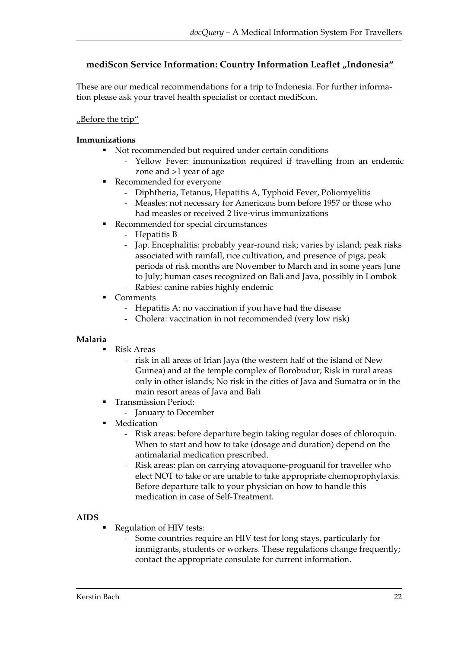#### mediScon Service Information: Country Information Leaflet "Indonesia"

These are our medical recommendations for a trip to Indonesia. For further information please ask your travel health specialist or contact mediScon.

#### "Before the trip"

#### **Immunizations**

- Not recommended but required under certain conditions
	- Yellow Fever: immunization required if travelling from an endemic zone and >1 year of age
- Recommended for everyone
	- Diphtheria, Tetanus, Hepatitis A, Typhoid Fever, Poliomyelitis
	- Measles: not necessary for Americans born before 1957 or those who had measles or received 2 live-virus immunizations
- Recommended for special circumstances
	- Hepatitis B
	- Jap. Encephalitis: probably year-round risk; varies by island; peak risks associated with rainfall, rice cultivation, and presence of pigs; peak periods of risk months are November to March and in some years June to July; human cases recognized on Bali and Java, possibly in Lombok
	- Rabies: canine rabies highly endemic
- Comments
	- Hepatitis A: no vaccination if you have had the disease
	- Cholera: vaccination in not recommended (very low risk)

#### **Malaria**

- Risk Areas
	- risk in all areas of Irian Jaya (the western half of the island of New Guinea) and at the temple complex of Borobudur; Risk in rural areas only in other islands; No risk in the cities of Java and Sumatra or in the main resort areas of Java and Bali
- Transmission Period:
	- January to December
- Medication
	- Risk areas: before departure begin taking regular doses of chloroquin. When to start and how to take (dosage and duration) depend on the antimalarial medication prescribed.
	- Risk areas: plan on carrying atovaquone-proguanil for traveller who elect NOT to take or are unable to take appropriate chemoprophylaxis. Before departure talk to your physician on how to handle this medication in case of Self-Treatment.

#### **AIDS**

- Regulation of HIV tests:
	- Some countries require an HIV test for long stays, particularly for immigrants, students or workers. These regulations change frequently; contact the appropriate consulate for current information.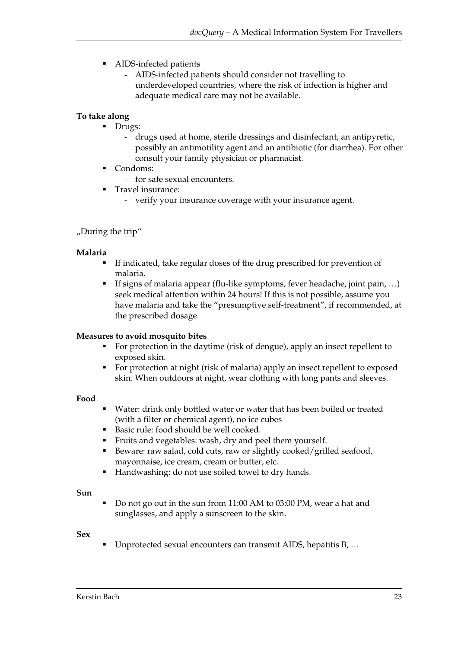- AIDS-infected patients
	- AIDS-infected patients should consider not travelling to underdeveloped countries, where the risk of infection is higher and adequate medical care may not be available.

#### **To take along**

- Drugs:
	- drugs used at home, sterile dressings and disinfectant, an antipyretic, possibly an antimotility agent and an antibiotic (for diarrhea). For other consult your family physician or pharmacist.
- Condoms:
	- for safe sexual encounters.
- Travel insurance:
	- verify your insurance coverage with your insurance agent.

#### "During the trip"

#### **Malaria**

- If indicated, take regular doses of the drug prescribed for prevention of malaria.
- If signs of malaria appear (flu-like symptoms, fever headache, joint pain, ...) seek medical attention within 24 hours! If this is not possible, assume you have malaria and take the "presumptive self-treatment", if recommended, at the prescribed dosage.

#### **Measures to avoid mosquito bites**

- For protection in the daytime (risk of dengue), apply an insect repellent to exposed skin.
- For protection at night (risk of malaria) apply an insect repellent to exposed skin. When outdoors at night, wear clothing with long pants and sleeves.

#### **Food**

- Water: drink only bottled water or water that has been boiled or treated (with a filter or chemical agent), no ice cubes
- Basic rule: food should be well cooked.
- Fruits and vegetables: wash, dry and peel them yourself.
- Beware: raw salad, cold cuts, raw or slightly cooked/grilled seafood, mayonnaise, ice cream, cream or butter, etc.
- Handwashing: do not use soiled towel to dry hands.

#### **Sun**

 Do not go out in the sun from 11:00 AM to 03:00 PM, wear a hat and sunglasses, and apply a sunscreen to the skin.

#### **Sex**

Unprotected sexual encounters can transmit AIDS, hepatitis B, …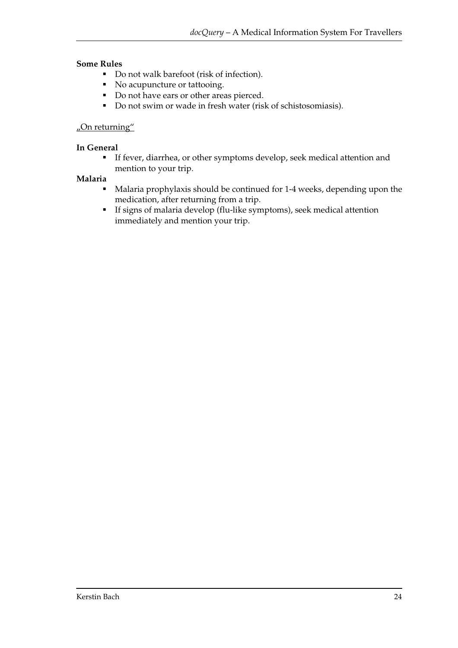#### **Some Rules**

- Do not walk barefoot (risk of infection).
- No acupuncture or tattooing.
- Do not have ears or other areas pierced.
- Do not swim or wade in fresh water (risk of schistosomiasis).

#### $\mu$ On returning"

#### **In General**

 If fever, diarrhea, or other symptoms develop, seek medical attention and mention to your trip.

#### **Malaria**

- Malaria prophylaxis should be continued for 1-4 weeks, depending upon the medication, after returning from a trip.
- If signs of malaria develop (flu-like symptoms), seek medical attention immediately and mention your trip.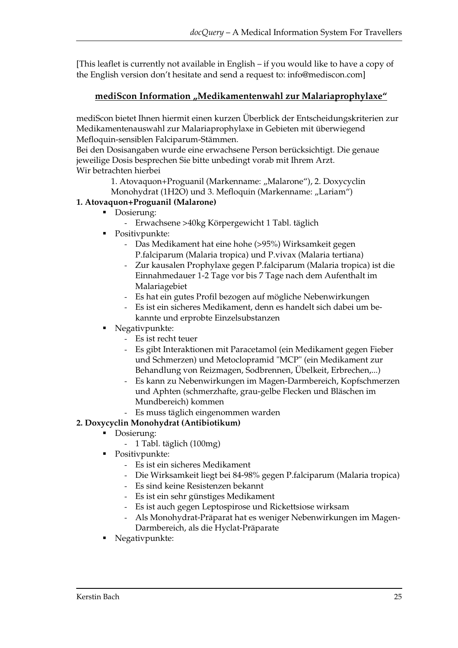[This leaflet is currently not available in English – if you would like to have a copy of the English version don't hesitate and send a request to: info@mediscon.com]

## mediScon Information "Medikamentenwahl zur Malariaprophylaxe"

mediScon bietet Ihnen hiermit einen kurzen Überblick der Entscheidungskriterien zur Medikamentenauswahl zur Malariaprophylaxe in Gebieten mit überwiegend Mefloquin-sensiblen Falciparum-Stämmen.

Bei den Dosisangaben wurde eine erwachsene Person berücksichtigt. Die genaue jeweilige Dosis besprechen Sie bitte unbedingt vorab mit Ihrem Arzt. Wir betrachten hierbei

1. Atovaquon+Proguanil (Markenname: "Malarone"), 2. Doxycyclin Monohydrat (1H2O) und 3. Mefloquin (Markenname: "Lariam")

#### **1. Atovaquon+Proguanil (Malarone)**

- Dosierung:
	- Erwachsene >40kg Körpergewicht 1 Tabl. täglich
- Positivpunkte:
	- Das Medikament hat eine hohe (>95%) Wirksamkeit gegen P.falciparum (Malaria tropica) und P.vivax (Malaria tertiana)
	- Zur kausalen Prophylaxe gegen P.falciparum (Malaria tropica) ist die Einnahmedauer 1-2 Tage vor bis 7 Tage nach dem Aufenthalt im Malariagebiet
	- Es hat ein gutes Profil bezogen auf mögliche Nebenwirkungen
	- Es ist ein sicheres Medikament, denn es handelt sich dabei um bekannte und erprobte Einzelsubstanzen
- Negativpunkte:
	- Es ist recht teuer
	- Es gibt Interaktionen mit Paracetamol (ein Medikament gegen Fieber und Schmerzen) und Metoclopramid "MCP" (ein Medikament zur Behandlung von Reizmagen, Sodbrennen, Übelkeit, Erbrechen,...)
	- Es kann zu Nebenwirkungen im Magen-Darmbereich, Kopfschmerzen und Aphten (schmerzhafte, grau-gelbe Flecken und Bläschen im Mundbereich) kommen
	- Es muss täglich eingenommen warden

## **2. Doxycyclin Monohydrat (Antibiotikum)**

- Dosierung:
	- 1 Tabl. täglich (100mg)
	- Positivpunkte:
		- Es ist ein sicheres Medikament
		- Die Wirksamkeit liegt bei 84-98% gegen P.falciparum (Malaria tropica)
		- Es sind keine Resistenzen bekannt
		- Es ist ein sehr günstiges Medikament
		- Es ist auch gegen Leptospirose und Rickettsiose wirksam
		- Als Monohydrat-Präparat hat es weniger Nebenwirkungen im Magen-Darmbereich, als die Hyclat-Präparate
- Negativpunkte: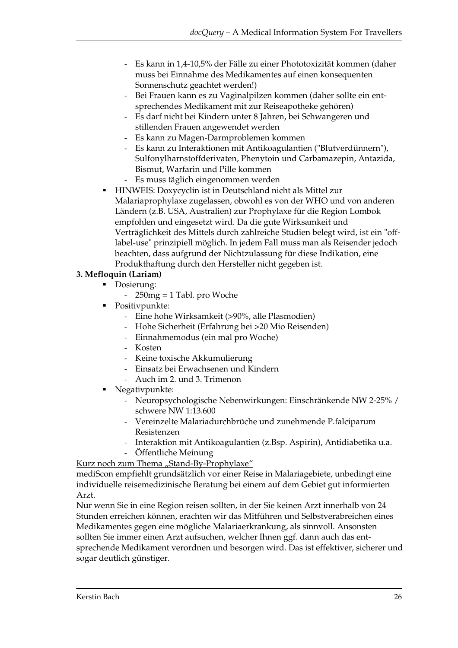- Es kann in 1,4-10,5% der Fälle zu einer Phototoxizität kommen (daher muss bei Einnahme des Medikamentes auf einen konsequenten Sonnenschutz geachtet werden!)
- Bei Frauen kann es zu Vaginalpilzen kommen (daher sollte ein entsprechendes Medikament mit zur Reiseapotheke gehören)
- Es darf nicht bei Kindern unter 8 Jahren, bei Schwangeren und stillenden Frauen angewendet werden
- Es kann zu Magen-Darmproblemen kommen
- Es kann zu Interaktionen mit Antikoagulantien ("Blutverdünnern"), Sulfonylharnstoffderivaten, Phenytoin und Carbamazepin, Antazida, Bismut, Warfarin und Pille kommen
- Es muss täglich eingenommen werden
- HINWEIS: Doxycyclin ist in Deutschland nicht als Mittel zur Malariaprophylaxe zugelassen, obwohl es von der WHO und von anderen Ländern (z.B. USA, Australien) zur Prophylaxe für die Region Lombok empfohlen und eingesetzt wird. Da die gute Wirksamkeit und Verträglichkeit des Mittels durch zahlreiche Studien belegt wird, ist ein "offlabel-use" prinzipiell möglich. In jedem Fall muss man als Reisender jedoch beachten, dass aufgrund der Nichtzulassung für diese Indikation, eine Produkthaftung durch den Hersteller nicht gegeben ist.

#### **3. Mefloquin (Lariam)**

- Dosierung:
	- 250mg = 1 Tabl. pro Woche
- Positivpunkte:
	- Eine hohe Wirksamkeit (>90%, alle Plasmodien)
	- Hohe Sicherheit (Erfahrung bei >20 Mio Reisenden)
	- Einnahmemodus (ein mal pro Woche)
	- Kosten
	- Keine toxische Akkumulierung
	- Einsatz bei Erwachsenen und Kindern
	- Auch im 2. und 3. Trimenon
- Negativpunkte:
	- Neuropsychologische Nebenwirkungen: Einschränkende NW 2-25% / schwere NW 1:13.600
	- Vereinzelte Malariadurchbrüche und zunehmende P.falciparum Resistenzen
	- Interaktion mit Antikoagulantien (z.Bsp. Aspirin), Antidiabetika u.a.
	- Öffentliche Meinung

Kurz noch zum Thema "Stand-By-Prophylaxe"

mediScon empfiehlt grundsätzlich vor einer Reise in Malariagebiete, unbedingt eine individuelle reisemedizinische Beratung bei einem auf dem Gebiet gut informierten Arzt.

Nur wenn Sie in eine Region reisen sollten, in der Sie keinen Arzt innerhalb von 24 Stunden erreichen können, erachten wir das Mitführen und Selbstverabreichen eines Medikamentes gegen eine mögliche Malariaerkrankung, als sinnvoll. Ansonsten sollten Sie immer einen Arzt aufsuchen, welcher Ihnen ggf. dann auch das entsprechende Medikament verordnen und besorgen wird. Das ist effektiver, sicherer und sogar deutlich günstiger.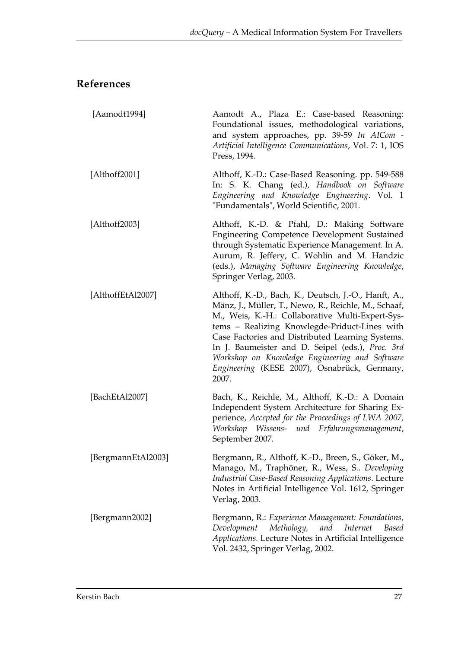# **References**

| [Aamodt1994]       | Aamodt A., Plaza E.: Case-based Reasoning:<br>Foundational issues, methodological variations,<br>and system approaches, pp. 39-59 In AICom -<br>Artificial Intelligence Communications, Vol. 7: 1, IOS<br>Press, 1994.                                                                                                                                                                                                               |
|--------------------|--------------------------------------------------------------------------------------------------------------------------------------------------------------------------------------------------------------------------------------------------------------------------------------------------------------------------------------------------------------------------------------------------------------------------------------|
| [Althoff2001]      | Althoff, K.-D.: Case-Based Reasoning. pp. 549-588<br>In: S. K. Chang (ed.), Handbook on Software<br>Engineering and Knowledge Engineering. Vol. 1<br>"Fundamentals", World Scientific, 2001.                                                                                                                                                                                                                                         |
| [Althoff2003]      | Althoff, K.-D. & Pfahl, D.: Making Software<br>Engineering Competence Development Sustained<br>through Systematic Experience Management. In A.<br>Aurum, R. Jeffery, C. Wohlin and M. Handzic<br>(eds.), Managing Software Engineering Knowledge,<br>Springer Verlag, 2003.                                                                                                                                                          |
| [AlthoffEtAl2007]  | Althoff, K.-D., Bach, K., Deutsch, J.-O., Hanft, A.,<br>Mänz, J., Müller, T., Newo, R., Reichle, M., Schaaf,<br>M., Weis, K.-H.: Collaborative Multi-Expert-Sys-<br>tems - Realizing Knowlegde-Priduct-Lines with<br>Case Factories and Distributed Learning Systems.<br>In J. Baumeister and D. Seipel (eds.), Proc. 3rd<br>Workshop on Knowledge Engineering and Software<br>Engineering (KESE 2007), Osnabrück, Germany,<br>2007. |
| [BachEtAl2007]     | Bach, K., Reichle, M., Althoff, K.-D.: A Domain<br>Independent System Architecture for Sharing Ex-<br>perience, Accepted for the Proceedings of LWA 2007,<br>Workshop Wissens- und Erfahrungsmanagement,<br>September 2007.                                                                                                                                                                                                          |
| [BergmannEtAl2003] | Bergmann, R., Althoff, K.-D., Breen, S., Göker, M.,<br>Manago, M., Traphöner, R., Wess, S Developing<br><b>Industrial Case-Based Reasoning Applications. Lecture</b><br>Notes in Artificial Intelligence Vol. 1612, Springer<br>Verlag, 2003.                                                                                                                                                                                        |
| [Bergmann2002]     | Bergmann, R.: Experience Management: Foundations,<br>Methology,<br>and<br>Development<br><i>Internet</i><br>Based<br>Applications. Lecture Notes in Artificial Intelligence<br>Vol. 2432, Springer Verlag, 2002.                                                                                                                                                                                                                     |